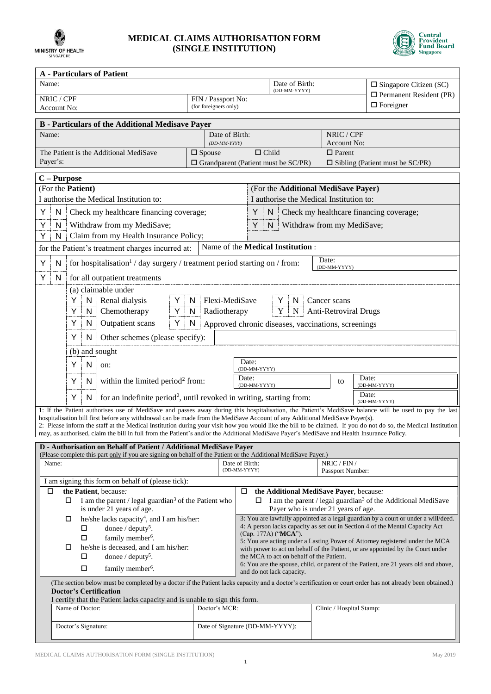



| <b>A</b> - Particulars of Patient                                                                                                                                                                                                                                                              |                                                                                                                                                                                                                                         |                                                                                                                  |                                         |                                         |  |  |
|------------------------------------------------------------------------------------------------------------------------------------------------------------------------------------------------------------------------------------------------------------------------------------------------|-----------------------------------------------------------------------------------------------------------------------------------------------------------------------------------------------------------------------------------------|------------------------------------------------------------------------------------------------------------------|-----------------------------------------|-----------------------------------------|--|--|
| Name:                                                                                                                                                                                                                                                                                          |                                                                                                                                                                                                                                         | Date of Birth:                                                                                                   |                                         | $\Box$ Singapore Citizen (SC)           |  |  |
| NRIC / CPF                                                                                                                                                                                                                                                                                     | (DD-MM-YYYY)<br>FIN / Passport No:                                                                                                                                                                                                      |                                                                                                                  |                                         | $\Box$ Permanent Resident (PR)          |  |  |
| Account No:                                                                                                                                                                                                                                                                                    | (for foreigners only)                                                                                                                                                                                                                   |                                                                                                                  |                                         | $\Box$ Foreigner                        |  |  |
| <b>B</b> - Particulars of the Additional Medisave Payer                                                                                                                                                                                                                                        |                                                                                                                                                                                                                                         |                                                                                                                  |                                         |                                         |  |  |
| Name:                                                                                                                                                                                                                                                                                          | Date of Birth:                                                                                                                                                                                                                          |                                                                                                                  | NRIC / CPF                              |                                         |  |  |
|                                                                                                                                                                                                                                                                                                | $(DD-MM-YYYY)$                                                                                                                                                                                                                          |                                                                                                                  | Account No:                             |                                         |  |  |
| The Patient is the Additional MediSave                                                                                                                                                                                                                                                         | $\Box$ Spouse                                                                                                                                                                                                                           | $\Box$ Child                                                                                                     | $\Box$ Parent                           |                                         |  |  |
| Payer's:                                                                                                                                                                                                                                                                                       | $\Box$ Grandparent (Patient must be SC/PR)<br>$\Box$ Sibling (Patient must be SC/PR)                                                                                                                                                    |                                                                                                                  |                                         |                                         |  |  |
| C - Purpose                                                                                                                                                                                                                                                                                    |                                                                                                                                                                                                                                         |                                                                                                                  |                                         |                                         |  |  |
| (For the Patient)                                                                                                                                                                                                                                                                              | (For the Additional MediSave Payer)                                                                                                                                                                                                     |                                                                                                                  |                                         |                                         |  |  |
| I authorise the Medical Institution to:                                                                                                                                                                                                                                                        |                                                                                                                                                                                                                                         |                                                                                                                  | I authorise the Medical Institution to: |                                         |  |  |
| Υ<br>Check my healthcare financing coverage;<br>N                                                                                                                                                                                                                                              |                                                                                                                                                                                                                                         | Y<br>N                                                                                                           |                                         | Check my healthcare financing coverage; |  |  |
| Y<br>Withdraw from my MediSave;<br>N                                                                                                                                                                                                                                                           |                                                                                                                                                                                                                                         | Y<br>N                                                                                                           | Withdraw from my MediSave;              |                                         |  |  |
| Y<br>N<br>Claim from my Health Insurance Policy;                                                                                                                                                                                                                                               |                                                                                                                                                                                                                                         |                                                                                                                  |                                         |                                         |  |  |
| for the Patient's treatment charges incurred at:                                                                                                                                                                                                                                               |                                                                                                                                                                                                                                         | Name of the Medical Institution:                                                                                 |                                         |                                         |  |  |
| Date:                                                                                                                                                                                                                                                                                          |                                                                                                                                                                                                                                         |                                                                                                                  |                                         |                                         |  |  |
| for hospitalisation <sup>1</sup> / day surgery / treatment period starting on / from:<br>Υ<br>N<br>(DD-MM-YYYY)                                                                                                                                                                                |                                                                                                                                                                                                                                         |                                                                                                                  |                                         |                                         |  |  |
| Y<br>for all outpatient treatments<br>N                                                                                                                                                                                                                                                        |                                                                                                                                                                                                                                         |                                                                                                                  |                                         |                                         |  |  |
| (a) claimable under                                                                                                                                                                                                                                                                            |                                                                                                                                                                                                                                         |                                                                                                                  |                                         |                                         |  |  |
| Renal dialysis<br>Y<br>N<br>Y                                                                                                                                                                                                                                                                  | Flexi-MediSave<br>N                                                                                                                                                                                                                     | Y<br>N                                                                                                           | Cancer scans                            |                                         |  |  |
| Y<br>Y<br>Chemotherapy<br>N                                                                                                                                                                                                                                                                    | Radiotherapy<br>N                                                                                                                                                                                                                       | $\mathbf Y$<br>N                                                                                                 | <b>Anti-Retroviral Drugs</b>            |                                         |  |  |
| Outpatient scans<br>Y<br>Υ<br>N                                                                                                                                                                                                                                                                | N                                                                                                                                                                                                                                       | Approved chronic diseases, vaccinations, screenings                                                              |                                         |                                         |  |  |
| Y<br>Other schemes (please specify):<br>N                                                                                                                                                                                                                                                      |                                                                                                                                                                                                                                         |                                                                                                                  |                                         |                                         |  |  |
| (b) and sought                                                                                                                                                                                                                                                                                 |                                                                                                                                                                                                                                         |                                                                                                                  |                                         |                                         |  |  |
| N<br>Y<br>on:                                                                                                                                                                                                                                                                                  |                                                                                                                                                                                                                                         | Date:                                                                                                            |                                         |                                         |  |  |
|                                                                                                                                                                                                                                                                                                |                                                                                                                                                                                                                                         | (DD-MM-YYYY)<br>Date:                                                                                            |                                         |                                         |  |  |
| Y<br>within the limited period <sup>2</sup> from:<br>N                                                                                                                                                                                                                                         | Date:<br>(DD-MM-YYYY)                                                                                                                                                                                                                   | to                                                                                                               | (DD-MM-YYYY)                            |                                         |  |  |
| Y<br>N                                                                                                                                                                                                                                                                                         | Date:<br>for an indefinite period <sup>2</sup> , until revoked in writing, starting from:<br>(DD-MM-YYYY)                                                                                                                               |                                                                                                                  |                                         |                                         |  |  |
| 1: If the Patient authorises use of MediSave and passes away during this hospitalisation, the Patient's MediSave balance will be used to pay the last                                                                                                                                          |                                                                                                                                                                                                                                         |                                                                                                                  |                                         |                                         |  |  |
| hospitalisation bill first before any withdrawal can be made from the MediSave Account of any Additional MediSave Payer(s).<br>2: Please inform the staff at the Medical Institution during your visit how you would like the bill to be claimed. If you do not do so, the Medical Institution |                                                                                                                                                                                                                                         |                                                                                                                  |                                         |                                         |  |  |
| may, as authorised, claim the bill in full from the Patient's and/or the Additional MediSave Payer's MediSave and Health Insurance Policy.                                                                                                                                                     |                                                                                                                                                                                                                                         |                                                                                                                  |                                         |                                         |  |  |
| D - Authorisation on Behalf of Patient / Additional MediSave Payer                                                                                                                                                                                                                             |                                                                                                                                                                                                                                         |                                                                                                                  |                                         |                                         |  |  |
| (Please complete this part only if you are signing on behalf of the Patient or the Additional MediSave Payer.)                                                                                                                                                                                 |                                                                                                                                                                                                                                         |                                                                                                                  |                                         |                                         |  |  |
| Name:                                                                                                                                                                                                                                                                                          | Date of Birth:<br>(DD-MM-YYYY)                                                                                                                                                                                                          |                                                                                                                  | NRIC / FIN /<br>Passport Number:        |                                         |  |  |
| I am signing this form on behalf of (please tick):                                                                                                                                                                                                                                             |                                                                                                                                                                                                                                         |                                                                                                                  |                                         |                                         |  |  |
| □<br>the Patient, because.                                                                                                                                                                                                                                                                     |                                                                                                                                                                                                                                         | the Additional MediSave Payer, because.<br>□                                                                     |                                         |                                         |  |  |
| I am the parent / legal guardian <sup>3</sup> of the Patient who<br>0                                                                                                                                                                                                                          |                                                                                                                                                                                                                                         | I am the parent / legal guardian <sup>3</sup> of the Additional MediSave<br>0                                    |                                         |                                         |  |  |
| is under 21 years of age.                                                                                                                                                                                                                                                                      |                                                                                                                                                                                                                                         |                                                                                                                  | Payer who is under 21 years of age.     |                                         |  |  |
| donee / deputy <sup>5</sup> .<br>П                                                                                                                                                                                                                                                             | he/she lacks capacity <sup>4</sup> , and I am his/her:<br>3: You are lawfully appointed as a legal guardian by a court or under a will/deed.<br>$\Box$<br>4: A person lacks capacity as set out in Section 4 of the Mental Capacity Act |                                                                                                                  |                                         |                                         |  |  |
| $\Box$<br>family member <sup>6</sup> .                                                                                                                                                                                                                                                         | (Cap. 177A) ("MCA").                                                                                                                                                                                                                    |                                                                                                                  |                                         |                                         |  |  |
| he/she is deceased, and I am his/her:<br>□                                                                                                                                                                                                                                                     | 5: You are acting under a Lasting Power of Attorney registered under the MCA<br>with power to act on behalf of the Patient, or are appointed by the Court under                                                                         |                                                                                                                  |                                         |                                         |  |  |
| donee / deputy <sup>5</sup> .<br>□                                                                                                                                                                                                                                                             |                                                                                                                                                                                                                                         | the MCA to act on behalf of the Patient.                                                                         |                                         |                                         |  |  |
| $\Box$<br>family member <sup>6</sup> .                                                                                                                                                                                                                                                         |                                                                                                                                                                                                                                         | 6: You are the spouse, child, or parent of the Patient, are 21 years old and above,<br>and do not lack capacity. |                                         |                                         |  |  |
| (The section below must be completed by a doctor if the Patient lacks capacity and a doctor's certification or court order has not already been obtained.)                                                                                                                                     |                                                                                                                                                                                                                                         |                                                                                                                  |                                         |                                         |  |  |
| <b>Doctor's Certification</b>                                                                                                                                                                                                                                                                  |                                                                                                                                                                                                                                         |                                                                                                                  |                                         |                                         |  |  |
| I certify that the Patient lacks capacity and is unable to sign this form.<br>Name of Doctor:                                                                                                                                                                                                  | Doctor's MCR:                                                                                                                                                                                                                           |                                                                                                                  |                                         |                                         |  |  |
|                                                                                                                                                                                                                                                                                                |                                                                                                                                                                                                                                         | Clinic / Hospital Stamp:                                                                                         |                                         |                                         |  |  |
| Doctor's Signature:                                                                                                                                                                                                                                                                            |                                                                                                                                                                                                                                         | Date of Signature (DD-MM-YYYY):                                                                                  |                                         |                                         |  |  |
|                                                                                                                                                                                                                                                                                                |                                                                                                                                                                                                                                         |                                                                                                                  |                                         |                                         |  |  |